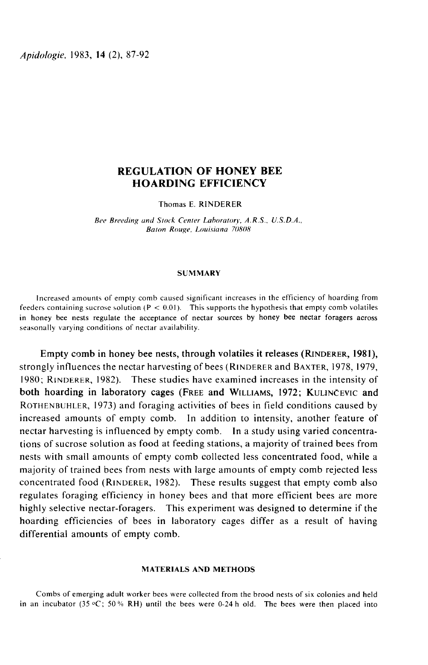Apidologie, 1983, 14 (2), 87-92

# REGULATION OF HONEY BEE HOARDING EFFICIENCY

Thomas E. RINDERER

Bee Breeding and Stock Center Lahoratory. A.R.S.. U.S.D.A., Baton Rouge. Louisiana 70808

## **SUMMARY**

Increased amounts of empty comb caused significant increases in the efficiency of hoarding from feeders containing sucrose solution ( $P < 0.01$ ). This supports the hypothesis that empty comb volatiles in honey bee nests regulate the acceptance of nectar sources by honey bee nectar foragers across seasonally varying conditions of nectar availability. ncreased amounts of empty comb caused significant increases in the efficiency of hoarding from<br>s containing sucrose solution ( $P < 0.01$ ). This supports the hypothesis that empty comb volatiles<br>ney bee nests regulate the a

Seasonally varying conditions of nectar availability.<br>
Empty comb in honey bee nests, through volatiles it releases (RINDERER, 1981),<br>
strongly influences the nectar harvesting of bees (RINDERER and BAXTER, 1978, 1979,<br>
19 both hoarding in laboratory cages (FREE and WILLIAMS, 1972; KULINČEVIC and In noney bee nesses<br>
seasonally varying c<br>
Empty com<br>
strongly influend<br>
1980; RINDERER<br>
both hoarding<br>
ROTHENBUHLER,<br>
increased amou<br>
nectar harvestine how varying conditions of nectar availability.<br>
Simpty comb in honey bee nests, through volatiles it releases (RINDERER, 1981),<br>
Ily influences the nectar harvesting of bees (RINDERER and BAXTER, 1978, 1979,<br>
RINDERER, 198 In noney bee ness reginate the acceptance of nectar sources by noney bee nectar foragers across<br>
seasonally varying conditions of nectar availability.<br>
Empty comb in honey bee nests, through volatiles it releases (RINDERER increased amounts of empty comb. In addition to intensity, another feature of nectar harvesting is influenced by empty comb. In a study using varied concentrations of sucrose solution as food at feeding stations, a majority of trained bees from nests with small amounts of empty comb collected less concentrated food, while a majority of trained bees from nests with large amounts of empty comb rejected less nectar harvesting is influenced by empty comb. In a study using varied concentra-<br>tions of sucrose solution as food at feeding stations, a majority of trained bees from<br>nests with small amounts of empty comb collected less regulates foraging efficiency in honey bees and that more efficient bees are more highly selective nectar-foragers. This experiment was designed to determine if the hoarding efficiencies of bees in laboratory cages differ as a result of having differential amounts of empty comb.

## MATERIALS AND METHODS

Combs of emerging adult worker bees were collected from the brood nests of six colonies and held in an incubator (35  $\degree$ C; 50 % RH) until the bees were 0-24 h old. The bees were then placed into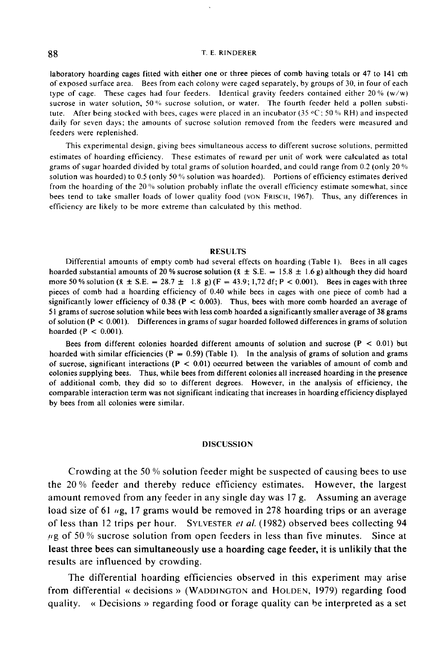#### T. E. RINDERER

laboratory hoarding cages fitted with either one or three pieces of comb having totals or 47 to 141 cm of exposed surface area. Bees from each colony were caged separately, by groups of 30, in four of each type of cage. These cages had four feeders. Identical gravity feeders contained either 20 % (w/w) sucrose in water solution, 50 % sucrose solution, or water. The fourth feeder held a pollen substitute. After being stocked with bees, cages were placed in an incubator (35  $\degree$ C; 50 % RH) and inspected daily for seven days; the amounts of sucrose solution removed from the feeders were measured and feeders were replenished.

This experimental design, giving bees simultaneous access to different sucrose solutions, permitted estimates of hoarding efficiency. These estimates of reward per unit of work were calculated as total grams of sugar hoarded divided by total grams of solution hoarded, and could range from 0.2 (only 20  $\%$ ) solution was hoarded) to 0.5 (only 50 % solution was hoarded). Portions of efficiency estimates derived from the hoarding of the 20  $\%$  solution probably inflate the overall efficiency estimate somewhat, since bees tend to take smaller loads of lower quality food (VON FRISCH, 1967). Thus, any differences in efficiency are likely to be more extreme than calculated by this method.

### RESULTS

Differential amounts of empty comb had several effects on hoarding (Table I). Bees in all cages hoarded substantial amounts of 20 % sucrose solution ( $\bar{x} \pm S.E. = 15.8 \pm 1.6$  g) although they did hoard more 50 % solution ( $\bar{x} \pm S.E. = 28.7 \pm 1.8 \text{ g}$ ) (F = 43.9; 1,72 df; P < 0.001). Bees in cages with three pieces of comb had a hoarding efficiency of 0.40 while bees in cages with one piece of comb had a significantly lower efficiency of  $0.38$  (P < 0.003). Thus, bees with more comb hoarded an average of 51 grams of sucrose solution while bees with less comb hoarded a significantly smaller average of 38 grams of solution  $(P < 0.001)$ . Differences in grams of sugar hoarded followed differences in grams of solution hoarded  $(P < 0.001)$ .

Bees from different colonies hoarded different amounts of solution and sucrose  $(P < 0.01)$  but hoarded with similar efficiencies ( $P = 0.59$ ) (Table 1). In the analysis of grams of solution and grams of sucrose, significant interactions ( $P < 0.01$ ) occurred between the variables of amount of comb and colonies supplying bees. Thus, while bees from different colonies all increased hoarding in the presence of additional comb, they did so to different degrees. However, in the analysis of efficiency, the comparable interaction term was not significant indicating that increases in hoarding efficiency displayed by bees from all colonies were similar.

## DISCUSSION

Crowding at the 50 % solution feeder might be suspected of causing bees to use the 20 % feeder and thereby reduce efficiency estimates. However, the largest amount removed from any feeder in any single day was 17 g. Assuming an average load size of 61 <sub>tig</sub>, 17 grams would be removed in 278 hoarding trips or an average Crowding at the 50 % solution feeder might be suspected of causing bees to use<br>the 20 % feeder and thereby reduce efficiency estimates. However, the largest<br>amount removed from any feeder in any single day was 17 g. Assum  $\mu$ g of 50 % sucrose solution from open feeders in less than five minutes. Since at least three bees can simultaneously use a hoarding cage feeder, it is unlikily that the results are influenced by crowding.

The differential hoarding efficiencies observed in this experiment may arise from differential « decisions » (WADDINGTON and HOLDEN , 1979) regarding food quality. « Decisions » regarding food or forage quality can be interpreted as a set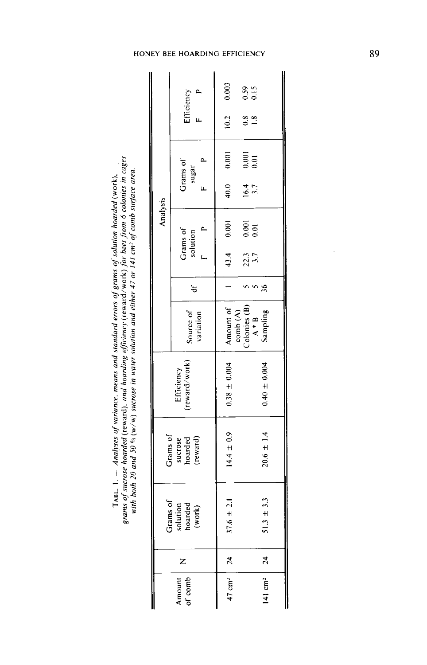TABL. 1.  $-$  Analyses of variance, means and standard errors of grams of solution hoarded (work),<br>grams of sucrose hoarded (reward), and hoarding efficiency (reward/work) for bees from 6 colonies in cages<br>with both 20 and

| Analysis                                   | Efficiency                   | 0.003<br>10.2          | $\begin{smallmatrix}0.59\\0.15\end{smallmatrix}$<br>$\frac{8}{10}$                                                                     |
|--------------------------------------------|------------------------------|------------------------|----------------------------------------------------------------------------------------------------------------------------------------|
|                                            | Grams of<br>م<br>سا<br>sugar | 0.001                  | 0.001                                                                                                                                  |
|                                            |                              | 40.0                   | 16.4                                                                                                                                   |
|                                            | Grams of<br>solution         | 0.001                  | $\frac{0.001}{0.01}$                                                                                                                   |
|                                            |                              | 43.4                   | 22.3<br>3.7                                                                                                                            |
|                                            | $\mathbf{d}$                 |                        | 36                                                                                                                                     |
|                                            | Source of<br>variation       | Amount of              | $\begin{array}{c} {\rm comb}\left({\bf A}\right)\\ {\rm Cobones}\left({\bf B}\right)\\ {\bf A} * {\bf B}\\ {\bf Sanpling} \end{array}$ |
| (reward/work)<br>Efficiency                |                              | $0.38 \pm 0.004$       | $0.40 \pm 0.004$                                                                                                                       |
| Grams of<br>sucrose<br>hoarded<br>(reward) |                              | $14.4 \pm 0.9$         | $20.6 \pm 1.4$                                                                                                                         |
| Grams of<br>solution<br>hoarded<br>(work)  |                              | $\pm 2.1$<br>37.6      | $\pm 3.3$<br>51.3                                                                                                                      |
|                                            |                              |                        |                                                                                                                                        |
| Amount                                     |                              | $47 \text{ cm}^2$   24 | $ 4 $ cm <sup>2</sup>   24                                                                                                             |

## HONEY BEE HOARDING EFFICIENCY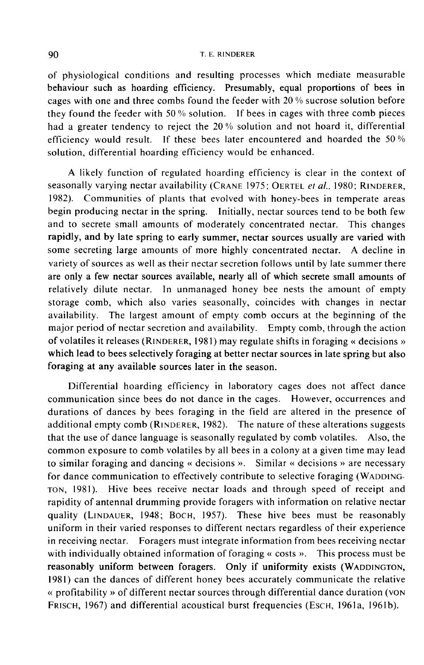#### T. E. RINDERER

of physiological conditions and resulting processes which mediate measurable behaviour such as hoarding efficiency. Presumably, equal proportions of bees in cages with one and three combs found the feeder with 20 % sucrose solution before they found the feeder with 50 % solution. If bees in cages with three comb pieces had a greater tendency to reject the 20 % solution and not hoard it, differential efficiency would result. If these bees later encountered and hoarded the 50 % solution, differential hoarding efficiency would be enhanced.

A likely function of regulated hoarding efficiency is clear in the context of seasonally varying nectar availability (CRANE 1975; OERTEL *et al.*, 1980; RINDERER, efficiency would result. If these bees later encountered and hoarded the 50% solution, differential hoarding efficiency would be enhanced.<br>A likely function of regulated hoarding efficiency is clear in the context of seaso begin producing nectar in the spring. Initially, nectar sources tend to be both few and to secrete small amounts of moderately concentrated nectar. This changes rapidly, and by late spring to early summer, nectar sources usually are varied with some secreting large amounts of more highly concentrated nectar. A decline in variety of sources as well as their nectar secretion follows until by late summer there are only a few nectar sources available, nearly all of which secrete small amounts of relatively dilute nectar. In unmanaged honey bee nests the amount of empty storage comb, which also varies seasonally, coincides with changes in nectar availability. The largest amount of empty comb occurs at the beginning of the major period of nectar secretion and availability. Empty comb, through the action of volatiles it releases (RINDERER, 1981) may regulate shifts in foraging « decisions » which lead to bees selectively foraging at better nectar sources in late spring but also foraging at any available sources later in the season.

Differential hoarding efficiency in laboratory cages does not affect dance communication since bees do not dance in the cages. However, occurrences and durations of dances by bees foraging in the field are altered in the presence of additional empty comb (RINDERER, 1982). The nature of these alterations suggests that the use of dance language is seasonally regulated by comb volatiles. Also, the common exposure to comb volatiles by all bees in a colony at a given time may lead to similar foraging and dancing « decisions ». Similar « decisions » are necessary for dance communication to effectively contribute to selective foraging (WADDING-For dance communication to effectively contribute to selective foraging (WADDING-<br>TON, 1981). Hive bees receive nectar loads and through speed of receipt and rapidity of antennal drumming provide foragers with information on relative nectar to similar foraging and dancing « decisions ». Similar « decisions » are necessary<br>for dance communication to effectively contribute to selective foraging (WADDING-<br>TON, 1981). Hive bees receive nectar loads and through sp uniform in their varied responses to different nectars regardless of their experience in receiving nectar. Foragers must integrate information from bees receiving nectar with individually obtained information of foraging « costs ». This process must be reasonably uniform between foragers. Only if uniformity 1981) can the dances of different honey bees accurately communicate the relative<br>« profitability » of different nectar sources through differential dance duration (VON) quality (LINDAUER, 1948; BOCH, 1957). These hive bees must be reasonably<br>uniform in their varied responses to different nectars regardless of their experience<br>in receiving nectar. Foragers must integrate information from b FRISCH, 1967) and differential acoustical burst frequencies (EscH, 1961a, 1961b).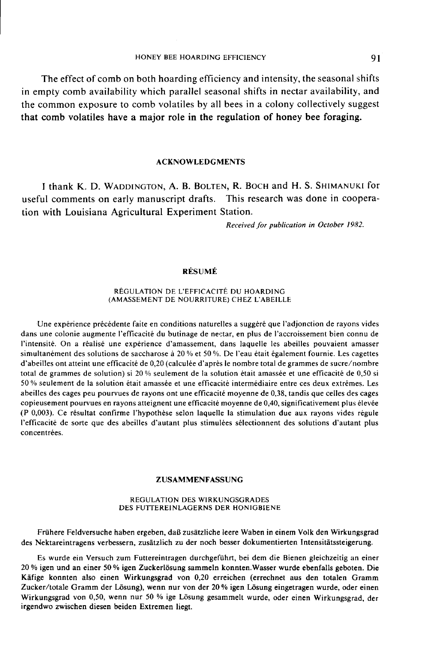The effect of comb on both hoarding efficiency and intensity, the seasonal shifts in empty comb availability which parallel seasonal shifts in nectar availability, and the common exposure to comb volatiles by all bees in a colony collectively suggest that comb volatiles have a major role in the regulation of honey bee foraging.

## ACKNOWLEDGMENTS

I thank K. D. WADDINGTON, A. B. BOLTEN, R. BOCH and H. S. SHIMANUKI for useful comments on early manuscript drafts. This research was done in cooperation with Louisiana Agricultural Experiment Station.

Received for publication in October 1982.

## RÉSUMÉ

## RÉGULATION DE L'EFFICACITÉ DU HOARDING (AMASSEMENT DE NOURRITURE) CHEZ L'ABEILLE

Une expérience précédente faite en conditions naturelles a suggéré que l'adjonction de rayons vides dans une colonie augmente l'efficacité du butinage de nectar, en plus de l'accroissement bien connu de l'intensité. On a réalisé une expérience d'amassement, dans laquelle les abeilles pouvaient amasser simultanément des solutions de saccharose à 20 % et 50 %. De l'eau était également fournie. Les cagettes d'abeilles ont atteint une efficacité de 0,20 (calculée d'après le nombre total de grammes de sucre/nombre total de grammes de solution) si 20 % seulement de la solution était amassée et une efficacité de 0,50 si 50 % seulement de la solution était amassée et une efficacité intermédiaire entre ces deux extrêmes. Les abeilles des cages peu pourvues de rayons ont une efficacité moyenne de 0,38, tandis que celles des cages copieusement pourvues en rayons atteignent une efficacité moyenne de 0,40, significativement plus élevée (P 0,003). Ce résultat confirme l'hypothèse selon laquelle la stimulation due aux rayons vides régule l'efficacité de sorte que des abeilles d'autant plus stimulées sélectionnent des solutions d'autant plus concentrées.

#### ZUSAMMENFASSUNG

#### REGULATION DES WIRKUNGSGRADES DES FUTTEREINLAGERNS DER HONIGBIENE

Frühere Feldversuche haben ergeben, daß zusätzliche leere Waben in einem Volk den Wirkungsgrad des Nektareintragens verbessern, zusätzlich zu der noch besser dokumentierten Intensitätssteigerung.

Es wurde ein Versuch zum Futtereintragen durchgeführt, bei dem die Bienen gleichzeitig an einer 20 % igen und an einer 50 % igen Zuckerlösung sammeln konnten.Wasser wurde ebenfalls geboten. Die Käfige konnten also einen Wirkungsgrad von 0,20 erreichen (errechnet aus den totalen Gramm Zucker/totale Gramm der Lösung), wenn nur von der 20 % igen Lösung eingetragen wurde, oder einen Wirkungsgrad von 0,50, wenn nur 50 % ige Lösung gesammelt wurde, oder einen Wirkungsgrad, der irgendwo zwischen diesen beiden Extremen liegt.